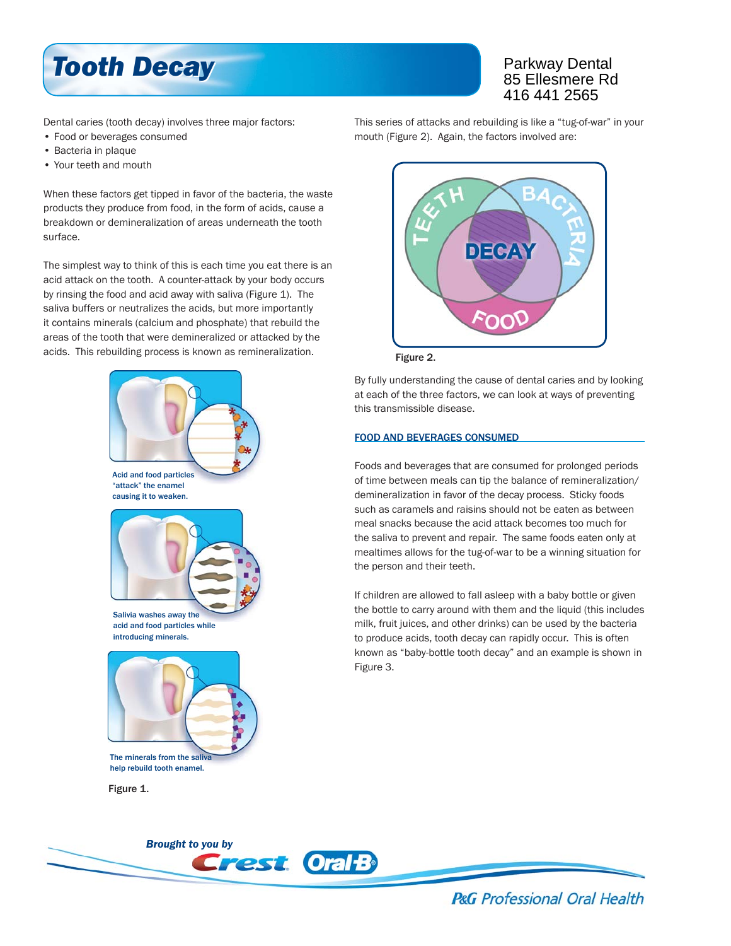

# Parkway Dental 85 Ellesmere Rd 416 441 2565

Dental caries (tooth decay) involves three major factors:

- Food or beverages consumed
- Bacteria in plaque
- Your teeth and mouth

When these factors get tipped in favor of the bacteria, the waste products they produce from food, in the form of acids, cause a breakdown or demineralization of areas underneath the tooth surface.

The simplest way to think of this is each time you eat there is an acid attack on the tooth. A counter-attack by your body occurs by rinsing the food and acid away with saliva (Figure 1). The saliva buffers or neutralizes the acids, but more importantly it contains minerals (calcium and phosphate) that rebuild the areas of the tooth that were demineralized or attacked by the acids. This rebuilding process is known as remineralization.





Salivia washes away the acid and food particles while introducing minerals.



The minerals from the saliv help rebuild tooth enamel.

Figure 1.

This series of attacks and rebuilding is like a "tug-of-war" in your mouth (Figure 2). Again, the factors involved are:



Figure 2.

By fully understanding the cause of dental caries and by looking at each of the three factors, we can look at ways of preventing this transmissible disease.

## FOOD AND BEVERAGES CONSUMED

Foods and beverages that are consumed for prolonged periods of time between meals can tip the balance of remineralization/ demineralization in favor of the decay process. Sticky foods such as caramels and raisins should not be eaten as between meal snacks because the acid attack becomes too much for the saliva to prevent and repair. The same foods eaten only at mealtimes allows for the tug-of-war to be a winning situation for the person and their teeth.

If children are allowed to fall asleep with a baby bottle or given the bottle to carry around with them and the liquid (this includes milk, fruit juices, and other drinks) can be used by the bacteria to produce acids, tooth decay can rapidly occur. This is often known as "baby-bottle tooth decay" and an example is shown in Figure 3.



**P&G** Professional Oral Health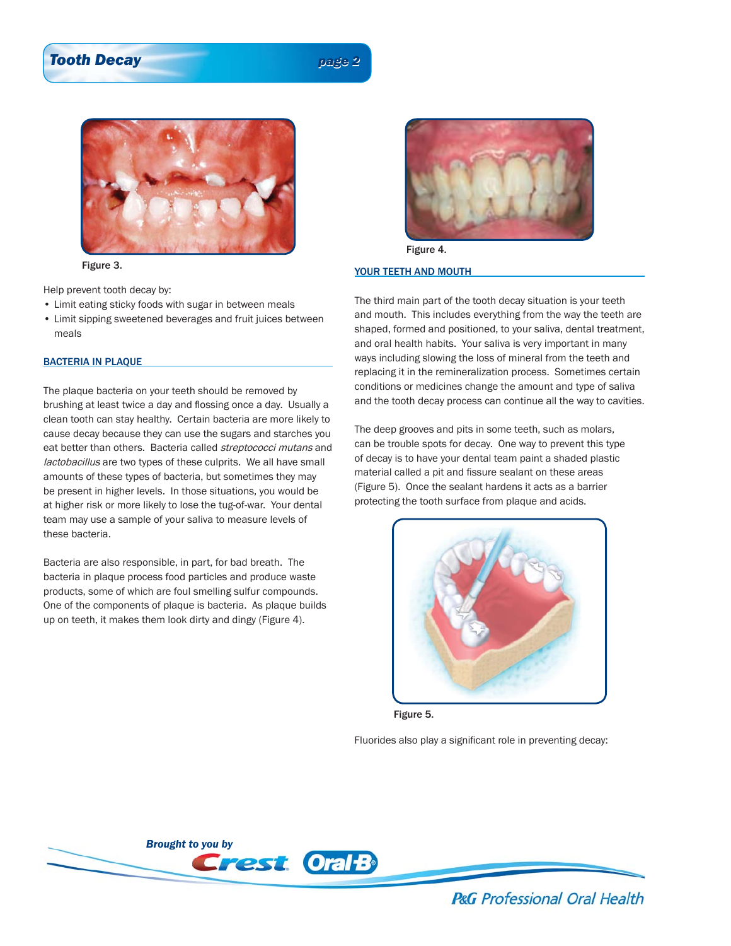## *Tooth Decay Tooth Decay page 2*



### Figure 3.

Help prevent tooth decay by:

- Limit eating sticky foods with sugar in between meals
- Limit sipping sweetened beverages and fruit juices between meals

#### BACTERIA IN PLAQUE

The plaque bacteria on your teeth should be removed by brushing at least twice a day and flossing once a day. Usually a clean tooth can stay healthy. Certain bacteria are more likely to cause decay because they can use the sugars and starches you eat better than others. Bacteria called streptococci mutans and lactobacillus are two types of these culprits. We all have small amounts of these types of bacteria, but sometimes they may be present in higher levels. In those situations, you would be at higher risk or more likely to lose the tug-of-war. Your dental team may use a sample of your saliva to measure levels of these bacteria.

Bacteria are also responsible, in part, for bad breath. The bacteria in plaque process food particles and produce waste products, some of which are foul smelling sulfur compounds. One of the components of plaque is bacteria. As plaque builds up on teeth, it makes them look dirty and dingy (Figure 4).



Figure 4.

#### YOUR TEETH AND MOUTH

The third main part of the tooth decay situation is your teeth and mouth. This includes everything from the way the teeth are shaped, formed and positioned, to your saliva, dental treatment, and oral health habits. Your saliva is very important in many ways including slowing the loss of mineral from the teeth and replacing it in the remineralization process. Sometimes certain conditions or medicines change the amount and type of saliva and the tooth decay process can continue all the way to cavities.

The deep grooves and pits in some teeth, such as molars, can be trouble spots for decay. One way to prevent this type of decay is to have your dental team paint a shaded plastic material called a pit and fissure sealant on these areas (Figure 5). Once the sealant hardens it acts as a barrier protecting the tooth surface from plaque and acids.



Figure 5.

Fluorides also play a significant role in preventing decay:



**P&G** Professional Oral Health